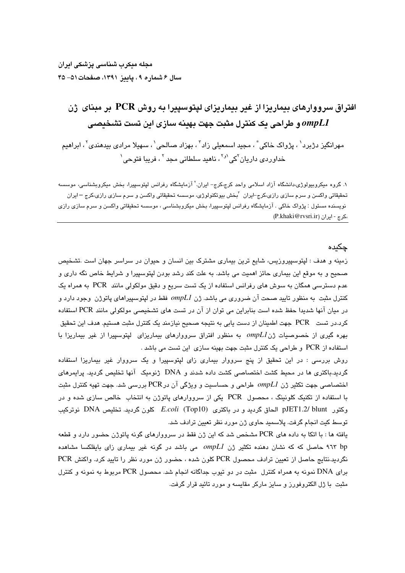# افتراق سرووارهای بیماریزا از غیر بیماریزای لیتوسپیرا به روش PCR بر مبنای ژن و طراحی یک کنترل مثبت جهت بهینه سازی این تست تشخیصی  $\emph{ompLI}$

مهرانگیز دژبرد ٰ ، پژواک خاکی ؑ ، مجید اسمعیلی زاد ؑ ، بهزاد صالحی ٰ ، سهیلا مرادی بیدهندی ؑ ، ابراهیم خداورد*ی* داریان<sup>۲</sup>کی<sup>۹٫۱</sup>، ناهید سلطانی مجد<sup>۲</sup>، فریبا فتوحی`

۱. گروه میکروبیولوژ*ی،د*انشگاه آزاد اسلامی واحد کرج،کرج– ایران.<sup>۲</sup> آزمایشگاه رفرانس لیتوسیپرا، بخش میکروبشناسی، موسسه تحقیقاتی واکسن و سرم سازی رازی،کرج−ایران <sup>۲</sup>بخش بیوتکنولوژی، موسسه تحقیقاتی واکسن و سرم سازی رازی،کرج −ایران نویسنده مسئول : پژواک خاکی . آزمایشگاه رفرانس لپتوسپیرا، بخش میکروبشناسی ، موسسه تحقیقاتی واکسن و سرم سازی رازی ،كرج - ايران (P.khaki@rvsri.ir)

## چکیده

زمینه و هدف : لپتوسپیروزیس، شایع ترین بیماری مشترک بین انسان و حیوان در سراسر جهان است .تشخیص صحیح و به موقع این بیماری حائز اهمیت می باشد. به علت کند رشد بودن لپتوسپیرا و شرایط خاص نگه داری و عدم دسترسی همگان به سوش های رفرانس استفاده از یک تست سریع و دقیق مولکولی مانند PCR به همراه یک کنترل مثبت به منظور تایید صحت آن ضروری می باشد. ژن  $\emph{onpL1}$  فقط در لپتوسپیراهای پاتوژن وجود دارد و در میان آنها شدیدا حفظ شده است بنابراین می توان از آن در تست های تشخیصی مولکولی مانند PCR استفاده کرد.در تست PCR جهت اطمینان از دست یابی به نتیجه صـحیح نیازمند یک کنترل مثبت هستیم. هدف این تحقیق بهره گیری از خصوصیات ژن ompLl به منظور افتراق سرووارهای بیماریزای لپتوسپیرا از غیر بیماریزا با استفاده از PCR و طراحی یک کنترل مثبت جهت بهینه سازی این تست می باشد .

روش بررسی : در این تحقیق از پنج سرووار بیماری زای لپتوسپیرا و یک سرووار غیر بیماریزا استفاده گردید.باکتری ها در محیط کشت اختصاصی کشت داده شدند و DNA ژنومیک آنها تخلیص گردید. پرایمرهای اختصاصی جهت تکثیر ژن ompL1 طراحی و حساسیت و ویژگی آن در PCR بررسی شد. جهت تهیه کنترل مثبت با استفاده از تکنیک کلونینگ ، محصول PCR یکی از سرووارهای پاتوژن به انتخاب خالص سازی شده و در وكتور pJET1.2/ blunt الحاق گرديد و در باكترى E.coli (Top10) كلون گرديد. تخليص DNA نوتركيب توسط كيت انجام گرفت. پلاسميد حاوي ژن مورد نظر تعيين ترادف شد.

یافته ها : با اتکا به داده های PCR مشخص شد که این ژن فقط در سرووارهای گونه پاتوژن حضور دارد و قطعه ۹٦٣ لحاصل که که نشان دهنده تکثیر ژن ompLl می باشد در گونه غیر بیماری زای بایفلکسا مشاهده نگردید.نتایج حاصل از تعیین ترادف محصول PCR کلون شده ، حضور ژن مورد نظر را تایید کرد. واکنش PCR برای DNA نمونه به همراه کنترل ًمثبت در دو تیوب جداگانه انجام شد. محصول PCR مربوط به نمونه و کنترل مثبت ً با ژل الکتروفورز و سایز مارکر مقایسه و مورد تائید قرار گرفت.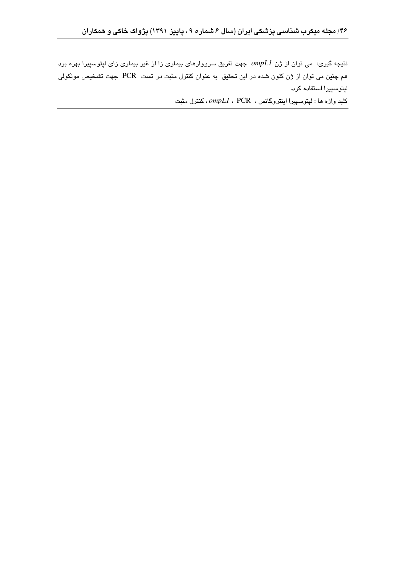نتیجه گیری: می توان از ژن ompL1 جهت تفریق سرووارهای بیماری زا از غیر بیماری زای لپتوسپیرا بهره برد هم چنین می توان از ژن کلون شده در این تحقیق به عنوان کنترل مثبت در تست PCR جهت تشخیص مولکولی ليتوسييرا استفاده كرد.

كليد واژه ها : لپتوسپيرا اينتروگانس ، PCR ،  $\emph{ompl.}$  ، كنترل مثبت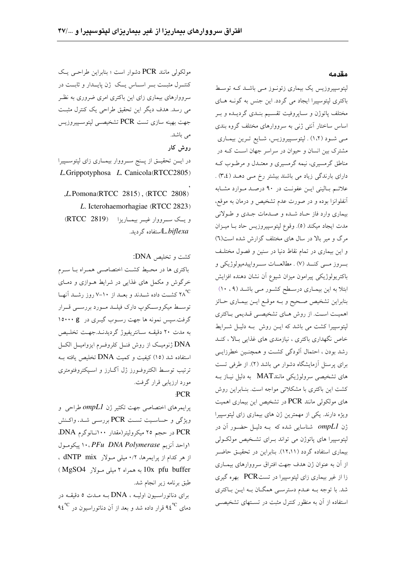مولکولی مانند PCR دشوار است ؛ بنابراین طراحبی یک کنتــرل مثبــت بــر اســـاس يــک ژن پايـــدار و ثابــت در سرووارهای بیماری زای این باکتری امری ضروری به نظـر می رسد. هدف دیگر این تحقیق طراحی یک کنترل مثبت جهت بهينه سازي تست PCR تشخيصـي لپتوســپيروزيس می باشد.

روش کار

در ايــن تحقيــق از يــنج ســرووار بيمــاري زاي ليتوســييرا L.Grippotyphosa L. Canicola(RTCC2805)

 $L$ Pomona(RTCC 2815), (RTCC 2808) L. Icterohaemorhagiae (RTCC 2823) ويك سوووار غيبر بيمباريزا (RTCC 2819) L.biflexaلاستفاده گردىد.

كشت و تخليص DNA: باکتری ها در محیط کشت اختصاصبی همراه با سرم خرگوش و مکمل های غذایی در شرایط هــوازی و دمــای °س مع سلاند و بعــد از ۱۰−۷ روز رشــد آنهــا V−۱۰ توسط میکروسکوپ دارک فیلــد مــورد بررســی قــرار گرفت.سپس نمونه ها جهت رسـوب گيـري در ١٥٠٠٠ 8 به مدت ۲۰ دقیقـه سـانتریفیوژ گردیدنــد.جهـت تخلــیص .<br>DNA ژنومیک از روش فنــل کلروفــرم ایزوامیــل الکــل استفاده شد (١٥) كيفيت و كميت DNA تخليص يافته بـه ترتيب توسط الكتروف ورز ژل آگـارز و اسـيكتروفتومترى مورد ارزيابي قرار گرفت. **PCR** 

یرایمرهای اختصاصی جهت تکثیر ژن ompL1 طراحی و ویژگی و حساسیت تست PCR بررسمی شـد. واکـنش PCR در حجم ۲۵ میکرولیتر(مقدار ۱۰۰نـانوگرم DNA اواحد أنزيم PFu DNA Polymerase ، ١٠ ييكومول از هر کدام از پرایمرها، ۰/۲ میلی مـولار dNTP mix ، (MgSO4 به همراه ۲ میلی مولار MgSO4) طبق برنامه زیر انجام شد.

برای دناتوراسیون اولیـه ، DNA بـه مـدت ۵ دقیقـه در دمای ۹٤ $^{\rm e}{\rm C}$  قرار داده شد و بعد از آن دناتوراسیون در ۹٤ $^{\rm e}{\rm C}$ 

#### مقدمه

لیتوسیپروزیس یک بیماری زئونـوز مـی باشـد کـه توسـط باکتری لیتوسیپرا ایجاد می گردد. این جنس به گونـه هـای مختلف پاتوژن و سـاپروفيت تقسـيم بنـدى گرديـده و بـر اساس ساختار آنتی ژنی به سرووارهای مختلف گروه بندی مبی شود (۱،۲) . لپتوسپیروزیس، شبایع تـرین بیمـاری مشترک بین انسان و حیوان در سراسر جهان است کـه در مناطق گرمسیری، نیمه گرمسیری و معتـدل و مرطــوب کــه دارای بارندگی زیاد می باشند بیشتر رخ مـی دهـد (۳،٤) . علائم بالینی این عفونت در ۹۰ درصد موارد مشابه آنفلوانزا بوده و در صورت عدم تشخیص و درمان به موقع، بیماری وارد فاز حـاد شـده و صـدمات جـدی و طـولانی مدت ايجاد ميكند (٥). وقوع لپتوسپيروزيس حاد بـا ميـزان مرگ و میر بالا در سال های مختلف گزارش شده است(٦) و این بیماری در تمام نقاط دنیا در سنین و فصول مختلف بسروز مسي كنــد (۷) . مطالعـــات ســـرواپيدميولوژيكي و باكتريولوژيكي پيرامون ميزان شيوع آن نشان دهنده افزايش ابتلا به این بیمـاری درسـطح کشـور مـی باشـد (۹، ۱۰) بنابراین تشخیص صـحیح و بــه موقـع ایــن بیمــاری حــائز اهمیت است. از روش هـاي تشخيصـي قـديمي بـاكترى لپتوسپیرا کشت می باشد که ایـن روش بـه دلیـل شـرایط خاص نگهداری باکتری ، نیازمندی های غذایی بالا ، کنـد رشد بودن ، احتمال ألودگي كشت و همچنين خطرزايـي برای پرسنل آزمایشگاه دشوار می باشد (۲). از طرفی تست های تشخیصی سرولوژیکی مانندMAT به دلیل نیـاز بــه کشت این باکتری با مشکلاتی مواجه است. بنـابراین روش های مولکولی مانند PCR در تشخیص این بیماری اهمیت ویژه دارند. یکی از مهمترین ژن های بیماری زای لیتوسییرا ژن  $ompLI$  شناسایی شده که بــه دلیــل حضــور آن در لپتوسپیرا های پاتوژن می تواند بـرای تشخیص مولکـولی بیماری استفاده گردد (۱۲،۱۱). بنابراین در تحقیـق حاضـر از آن به عنوان ژن هدف جهت افتراق سرووارهای بیمـاری زا از غیر بیماری زای لیتوسیپرا در تستPCR بهره گیری شد. با توجه بــه عــدم دسترســي همگــان بــه ايــن بــاکترى استفاده از آن به منظور کنترل مثبت در تسـتهای تشخیصـی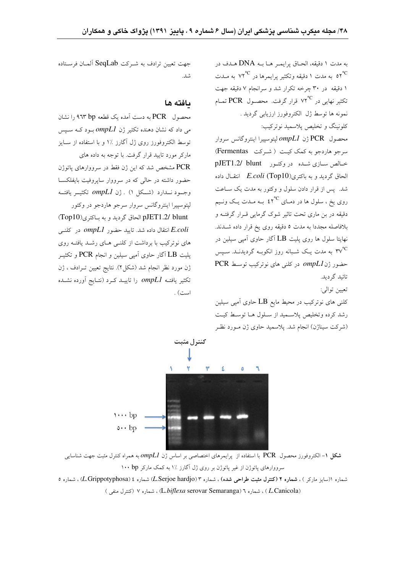به مدت ١ دقيقه، الحـاق يرايمـر هـا بــه DNA هـدف در ۰<br>۵۲<sup>°C</sup> به مدت ۱ دقیقه وتکثیر پرایمرها در <sup>۷۲°C</sup> به مــدت .<br>۱ دقیقه ً در ۳۰ چرخه تکرار شد و سرانجام ۷ دقیقه جهت تکثیر نهایی در °°۷۲ قرار گرفت. محصـول PCR تمـام نمونه ها توسط ژل الکتروفورز ارزیابی گردید . کلونینگ و تخلیص پلاسمید نوترکیب:

محصول PCR ژن ompL1 ليتوسييرا اينتروگانس سروار سرجو هاردجو به کمک کیت (شرکت Fermentas) خیالص سیازی شیده در وکتبور pJET1.2/ blunt الحاق گردید و به باکتری(Top10) E.coli انتقــال داده شد. پس از قرار دادن سلول و وکتور به مدت یک سـاعت روی یخ ، سلول ها در دمـای °°۲ بـه مـدت یـک ونـیم دقیقه در بن ماری تحت تاثیر شوک گرمایی قـرار گرفتـه و بلافاصله مجدداً به مدت ٥ دقیقه روی یخ قرار داده شـدند. نهایتا سلول ها روی پلیت LB آگار حاوی آمی<sub>ی</sub> سیلین در ۳۷<sup>°C</sup> به مدت یـک شـبانه روز انکوبـه گردیدنــد. سـپس حضور ژن ompL1 در کلنی های نوترکیب توسط PCR تائىد گر دىد.

تعيين توالي:

کلنی های نوترکیب در محیط مایع LB حاوی آمپی سیلین رشد كرده وتخليص پلاسميد از سلول هـا توسـط كيـت (شرکت سیناژن) انجام شد. پلاسمید حاوی ژن مـورد نظـر



#### ىافته ها

محصول PCR به دست آمده یک قطعه ۹٦۳ bp را نشان می داد که نشان دهنده تکثیر ژن  $ompL1$ بود کــه ســیس توسط الکتروفورز روی ژل آگارز ٪۱ و با استفاده از سـایز مارکر مورد تایید قرار گرفت. با توجه به داده های .<br>PCR مشخص شد که این ژن فقط در سرووارهای پاتوژن حضور داشته در حالی که در سرووار سایروفیت بایفلکسا وجــود نـــدارد (شـــکل ۱) . ژن ompL1 تکثیــر یافتــه ليتوسييرا اينتروگانس سروار سرجو هاردجو در وكتور pJET1.2/ blunt الحاق گردید و به باکتری(Top10) انتقال داده شد. تایید حضور ompL1 در کلنـی  $\emph{E.coli}$ های نوترکیب با برداشت از کلنبی هـای رشـد یافتـه روی پلیت  $\rm{LB}$  اَگار حاوی اَمپی سیلین و انجام  $\rm{PCR}$  و تکثیـر ژن مورد نظر انجام شد (شکل۲). نتایج تعیین تـرادف ، ژن تکثیر یافتــه ompL1 را تاییــد کــرد (نتــایج آورده نشــده است) .



**شکل ۱**– الکتروفورز محصول PCR با استفاده از پرایمرهای اختصاصی بر اساس ژن *ompLI* به همراه کنترل مثبت جهت شناسایی سرووارهای پاتوژن از غیر پاتوژن بر روی ژل آگارز ٪ا به کمک مارکر ۱۰۰ bp

شماره ((سایز مارکر ) ، **شماره ۲ (کنترل مثبت طراحی شده)** ، شماره ۳ (L.Serjoe hardjo) شماره L.Grippotyphosa) ، شماره ۵ (L.Canicola) ، شماره ٦ (L.biflexa serovar Semaranga) ، شماره ٧ (كنترل منفي)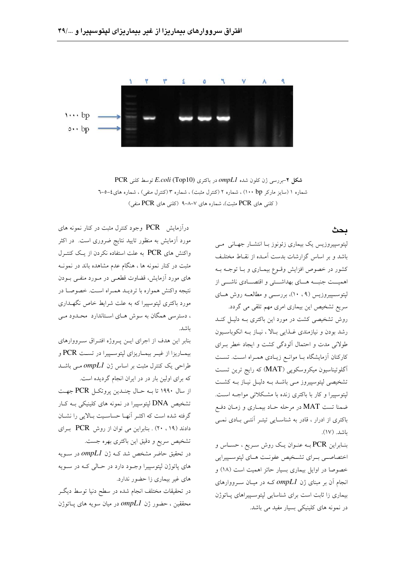

شکل ۲-بررسی ژن کلون شده ompL1 در باکتری E.coli (Top10) توسط کلنی PCR شماره ۱ (سایز مارکر ۱۰۰ bp) ، شماره ۲ (کنترل مثبت) ، شماره ۳ (کنترل منفی) ، شماره های ٤–٥–٦ (کلنی های PCR مثبت)، شماره های ۷–۸–۹ (کلنی های PCR منفی)

### ىحث

لیتوسییروزیس یک بیماری زئونوز بـا انتشـار جهـانی مـی باشد و بر اساس گزارشات بدست آمـده از نقـاط مختلـف کشور در خصوص افزایش وقــوع بیمــاری و بــا توجــه بــه اهمیــت جنبــه هــای بهداشــتی و اقتصــادی ناشـــی از لیتوسسیپروزیس (۹، ۱۰)، بررسسی و مطالعــه روش هــای سریع تشخیص این بیماری امری مهم تلقی می گردد.

روش تشخیصی کشت در مورد این باکتری بـه دلیـل کنـد رشد بودن و نیازمندی غـذایی بـالا ، نیـاز بـه انکوباسـیون طولانی مدت و احتمال آلودگی کشت و ایجاد خطر بـرای کارکنان آزمایشگاه بـا موانـع زیـادی همـراه اسـت. تسـت آگلوتیناسیون میکروسکوپی (MAT) که رایج ترین تست تشخیصی لپتوسپیروز مـی باشـد بـه دلیـل نیـاز بـه کشـت لپتوسپیرا و کار با باکتری زنده با مشکلاتی مواجـه اسـت. ضمنا تست MAT در مرحله حـاد بیمـاری و زمـان دفـع باکتری از ادرار ، قادر به شناسـایی تیتـر آنتـی بـادی نمـی باشد. (١٧).

بنـابراین PCR بــه عنــوان یــک روش ســریع ، حســاس و اختصاصبي بسراي تشخيص عفونت هباي لپتوسيپيرايي خصوصا در اوایل بیماری بسیار حائز اهمیت است (۱۸) و انجام آن بر مبنای ژن ompL1 کــه در میــان ســرووارهای بیماری زا ثابت است برای شناسایی لیتوسیپراهای پاتوژن در نمونه های کلینیکی بسیار مفید می باشد.

درآزمایش PCR وجود کنترل مثبت در کنار نمونه های مورد آزمایش به منظور تایید نتایج ضروری است. در اکثر واکنش های PCR به علت استفاده نکردن از یک کنتـرل مثبت در کنار نمونه ها ، هنگام عدم مشاهده باند در نمونـه های مورد آزمایش، قضاوت قطعی در مـورد منفـی بـودن نتيجه واكنش همواره با ترديـد همـراه اسـت. خصوصـا در مورد باکتری لپتوسپیرا که به علت شرایط خاص نگهــداری ، دسترسی همگان به سوش هـای اسـتاندارد محـدود مـی باشد.

بنابر این هدف از اجرای ایـن پـروژه افتـراق سـرووارهای بيمـاريزا از غيـر بيمـاريزاي لپتوسـپيرا در تسـت PCR و طراحی یک کنترل مثبت بر اساس ژن  $ompLI$  مـی باشــد که برای اولین بار در در ایران انجام گردیده است.

از سال ۱۹۹۰ تا بـه حـال چنــدين پروتكــل PCR جهـت تشخیص DNA لپتوسپیرا در نمونه های کلینیکی بـه کـار گرفته شده است که اکثـر آنهـا حساسـيت بـالايي را نشـان دادند (١٩، ٢٠) . بنابراين مي توان از روش PCR براي تشخیص سریع و دقیق این باکتری بهره جست.

در تحقیق حاضر مشخص شد کـه ژن ompL1 در ســویه های پاتوژن لیتوسیپرا وجـود دارد در حـالی کـه در سـویه های غیر بیماری زا حضور ندارد.

در تحقیقات مختلف انجام شده در سطح دنیا توسط دیگـر محققین ، حضور ژن ompL1 در میان سویه های پــاتوژن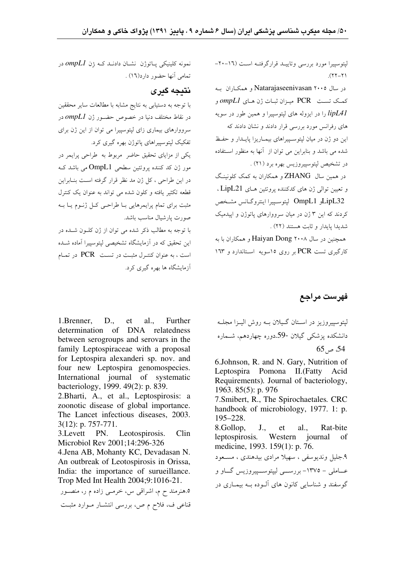لیتوسیپرا مورد بررسی وتاییـد قرارگرفتـه اسـت (١٦-٢٠- $(7 - 77)$ .

در سال Natarajaseenivasan ۲۰۰۵ و همکباران ب كمك تست PCR ميـزان ثبـات ژن هـاي ompL1 و lipLA1 را در ایزوله های لیتوسیپرا و همین طور در سویه های رفرانس مورد بررسی قرار دادند و نشان دادند که این دو ژن در میان لیتوسیپراهای بیمـاریزا پایـدار و حفـظ شده می باشد و بنابراین می توان از آنها به منظور استفاده در تشخیص لپتوسپیروزیس بهره برد (۲۱) . در همین سال ZHANG و همکاران به کمک کله نینگ و تعیین توالی ژن های کدکننده پروتئین هـای LipL21 ، LipL32و OmpL1 ليتوسييرا اينتروكـانس مشـخص

کردند که این ۳ ژن در میان سرووارهای پاتوژن و اپیدمیک شديدا يايدار و ثابت هستند (٢٢) .

همچنین در سال ۲۰۰۸ Haiyan Dong و همکاران با به کارگیری تست PCR بر روی ۱۵سویه اسـتاندارد و ۱۶۳

فهرست مراجع

ليتوسييروزيز در اسـتان گـيلان بــه روش اليــزا مجلــه دانشکده پزشکی گیلان -59دوره چهاردهم، شــماره  $65 \approx 54$ 

6.Johnson, R. and N. Gary, Nutrition of Leptospira Pomona II. (Fatty Acid Requirements). Journal of bacteriology, 1963. 85(5): p. 976 7. Smibert, R., The Spirochaetales. CRC handbook of microbiology, 1977. 1: p. 195-228. 8.Gollop,  $J_{\cdot}$ et al. Rat-bite leptospirosis. Western iournal of medicine, 1993. 159(1): p. 76. ۹.جلیل وندیوسفی ، سهیلا مرادی بیدهندی ، مسعود عــاملي – ١٣٧٥- بررســي ليپتوســـييروزيس گــاو و گوسفند و شناسایی کانون های آلـوده بـه بیمـاری در

نمونه کلینیکی پاتوژن نشـان دادنــد کــه ژن ompL1 در تمامي أنها حضور دارد(١٦) .

# نتىجە گىرى

با توجه به دستیابی به نتایج مشابه با مطالعات سایر محققین در نقاط مختلف دنیا در خصوص حضــور ژن ompL1 در سرووارهای بیماری زای لپتوسپیرا می توان از این ژن برای تفکیک لپتوسپیراهای پاتوژن بهره گیری کرد.

یکی از مزایای تحقیق حاضر ً مربوط به طراحی پرایمر در مور ژن کد کننده پروتئین سطحی OmpL1 می باشد ک در این طراحی ، کل ژن مد نظر قرار گرفته است بنـابراین قطعه تکثیر یافته و کلون شده می تواند به عنوان یک کنترل مثبت برای تمام پرایمرهایی بـا طراحـی کـل ژنـوم یـا بـه صورت پارشیال مناسب باشد.

با توجه به مطالب ذکر شده می توان از ژن کلـون شـده در این تحقیق که در آزمایشگاه تشخیصه لبتوسیدا آماده شبده است ، به عنوان کنتـرل مثبـت در تسـت PCR در تمـام آزمایشگاه ها بهره گیری کرد.

1. Brenner.  $D_{\cdot\cdot}$ et  $al.$ Further determination of DNA relatedness between serogroups and serovars in the family Leptospiraceae with a proposal for Leptospira alexanderi sp. nov. and four new Leptospira genomospecies. International journal of systematic bacteriology, 1999. 49(2): p. 839.

2. Bharti, A., et al., Leptospirosis: a zoonotic disease of global importance. The Lancet infectious diseases, 2003.  $3(12)$ : p. 757-771.

3. Levett PN. Leotospirosis. Clin Microbiol Rev 2001;14:296-326

4. Jena AB, Mohanty KC, Devadasan N. An outbreak of Leotospirosis in Orissa, India: the importance of surueillance. Trop Med Int Health 2004;9:1016-21.

٥.هنرمند ح م، اشراقی س، خرمـی زاده م ر، منصـور قناعی ف، فلاح م ص، بررسی انتشـار مـوارد مثبـت